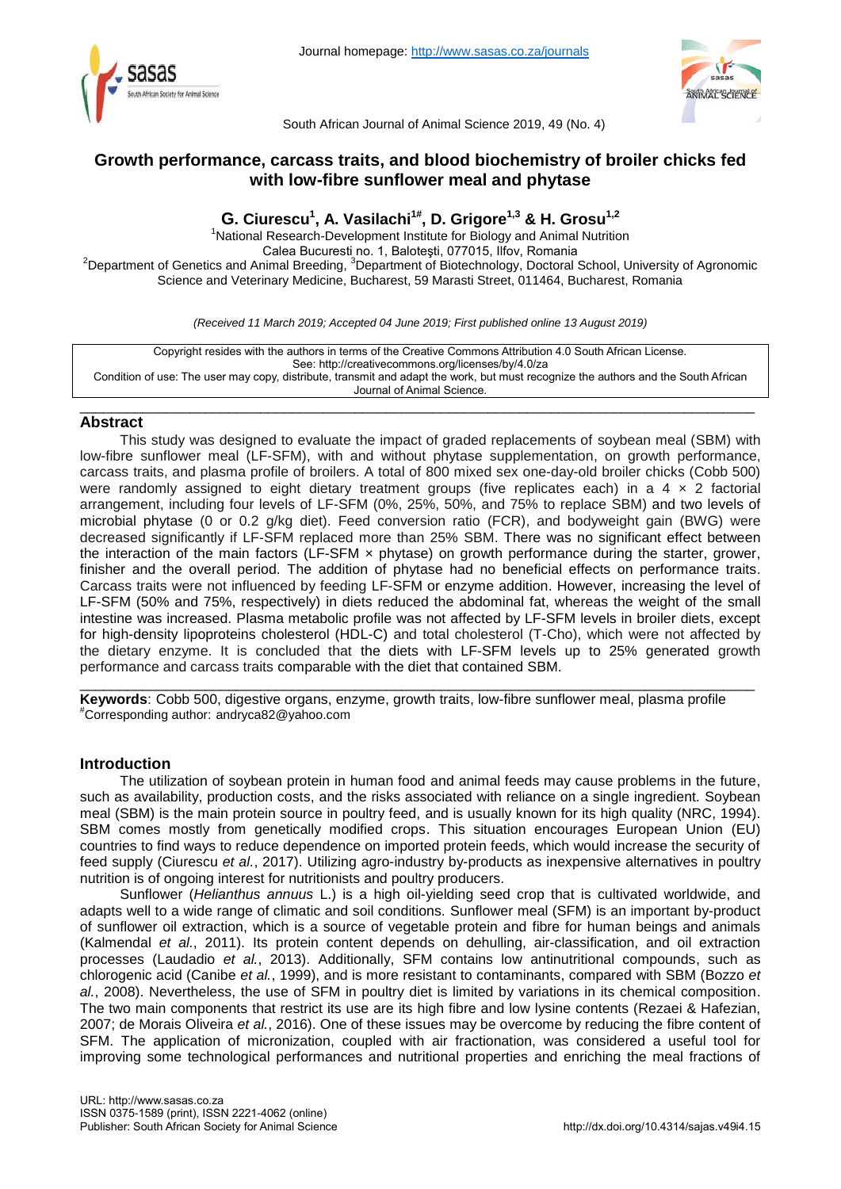



South African Journal of Animal Science 2019, 49 (No. 4)

# **Growth performance, carcass traits, and blood biochemistry of broiler chicks fed with low-fibre sunflower meal and phytase**

# **G. Ciurescu<sup>1</sup> , A. Vasilachi1# , D. Grigore1,3 & H. Grosu1,2**

<sup>1</sup>National Research-Development Institute for Biology and Animal Nutrition Calea Bucuresti no. 1, Baloteşti, 077015, Ilfov, Romania <sup>2</sup>Department of Genetics and Animal Breeding, <sup>3</sup>Department of Biotechnology, Doctoral School, University of Agronomic Science and Veterinary Medicine, Bucharest, 59 Marasti Street, 011464, Bucharest, Romania

*(Received 11 March 2019; Accepted 04 June 2019; First published online 13 August 2019)*

Copyright resides with the authors in terms of the Creative Commons Attribution 4.0 South African License. See: http://creativecommons.org/licenses/by/4.0/za Condition of use: The user may copy, distribute, transmit and adapt the work, but must recognize the authors and the South African Journal of Animal Science.

## \_\_\_\_\_\_\_\_\_\_\_\_\_\_\_\_\_\_\_\_\_\_\_\_\_\_\_\_\_\_\_\_\_\_\_\_\_\_\_\_\_\_\_\_\_\_\_\_\_\_\_\_\_\_\_\_\_\_\_\_\_\_\_\_\_\_\_\_\_\_\_\_\_\_\_\_\_\_\_\_\_\_\_\_\_\_ **Abstract**

This study was designed to evaluate the impact of graded replacements of soybean meal (SBM) with low-fibre sunflower meal (LF-SFM), with and without phytase supplementation, on growth performance, carcass traits, and plasma profile of broilers. A total of 800 mixed sex one-day-old broiler chicks (Cobb 500) were randomly assigned to eight dietary treatment groups (five replicates each) in a 4  $\times$  2 factorial arrangement, including four levels of LF-SFM (0%, 25%, 50%, and 75% to replace SBM) and two levels of microbial phytase (0 or 0.2 g/kg diet). Feed conversion ratio (FCR), and bodyweight gain (BWG) were decreased significantly if LF-SFM replaced more than 25% SBM. There was no significant effect between the interaction of the main factors (LF-SFM × phytase) on growth performance during the starter, grower, finisher and the overall period. The addition of phytase had no beneficial effects on performance traits. Carcass traits were not influenced by feeding LF-SFM or enzyme addition. However, increasing the level of LF-SFM (50% and 75%, respectively) in diets reduced the abdominal fat, whereas the weight of the small intestine was increased. Plasma metabolic profile was not affected by LF-SFM levels in broiler diets, except for high-density lipoproteins cholesterol (HDL-C) and total cholesterol (T-Cho), which were not affected by the dietary enzyme. It is concluded that the diets with LF-SFM levels up to 25% generated growth performance and carcass traits comparable with the diet that contained SBM.

\_\_\_\_\_\_\_\_\_\_\_\_\_\_\_\_\_\_\_\_\_\_\_\_\_\_\_\_\_\_\_\_\_\_\_\_\_\_\_\_\_\_\_\_\_\_\_\_\_\_\_\_\_\_\_\_\_\_\_\_\_\_\_\_\_\_\_\_\_\_\_\_\_\_\_\_\_\_\_\_\_\_\_\_\_\_ **Keywords**: Cobb 500, digestive organs, enzyme, growth traits, low-fibre sunflower meal, plasma profile #Corresponding author: [andryca82@yahoo.com](mailto:andryca82@yahoo.com)

## **Introduction**

The utilization of soybean protein in human food and animal feeds may cause problems in the future, such as availability, production costs, and the risks associated with reliance on a single ingredient. Soybean meal (SBM) is the main protein source in poultry feed, and is usually known for its high quality (NRC, 1994). SBM comes mostly from genetically modified crops. This situation encourages European Union (EU) countries to find ways to reduce dependence on imported protein feeds, which would increase the security of feed supply (Ciurescu *et al.*, 2017). Utilizing agro-industry by-products as inexpensive alternatives in poultry nutrition is of ongoing interest for nutritionists and poultry producers.

Sunflower (*Helianthus annuus* L.) is a high oil-yielding seed crop that is cultivated worldwide, and adapts well to a wide range of climatic and soil conditions. Sunflower meal (SFM) is an important by-product of sunflower oil extraction, which is a source of vegetable protein and fibre for human beings and animals (Kalmendal *et al.*, 2011). Its protein content depends on dehulling, air-classification, and oil extraction processes (Laudadio *et al.*, 2013). Additionally, SFM contains low antinutritional compounds, such as chlorogenic acid (Canibe *et al.*, 1999), and is more resistant to contaminants, compared with SBM (Bozzo *et al.*, 2008). Nevertheless, the use of SFM in poultry diet is limited by variations in its chemical composition. The two main components that restrict its use are its high fibre and low lysine contents (Rezaei & Hafezian, 2007; de Morais Oliveira *et al.*, 2016). One of these issues may be overcome by reducing the fibre content of SFM. The application of micronization, coupled with air fractionation, was considered a useful tool for improving some technological performances and nutritional properties and enriching the meal fractions of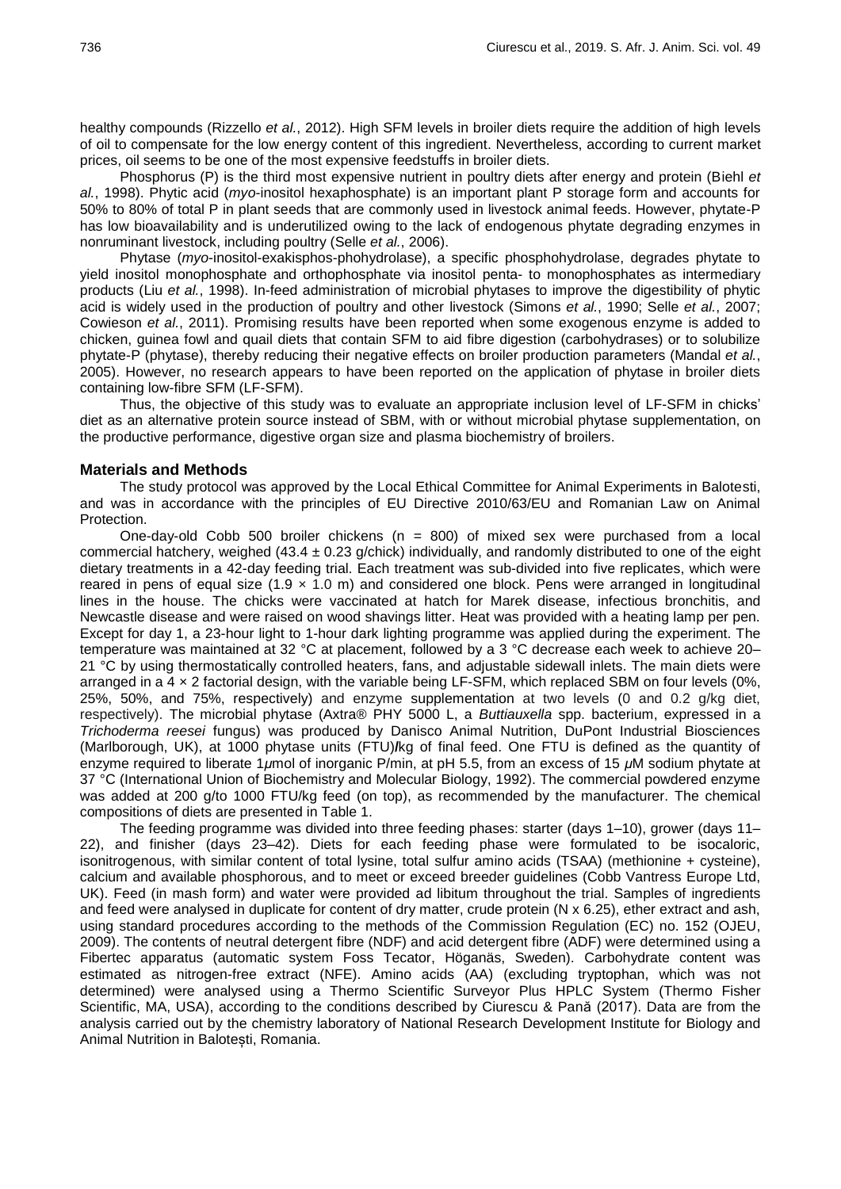healthy compounds (Rizzello *et al.*, 2012). High SFM levels in broiler diets require the addition of high levels of oil to compensate for the low energy content of this ingredient. Nevertheless, according to current market prices, oil seems to be one of the most expensive feedstuffs in broiler diets.

Phosphorus (P) is the third most expensive nutrient in poultry diets after energy and protein (Biehl *et al.*, 1998). Phytic acid (*myo*-inositol hexaphosphate) is an important plant P storage form and accounts for 50% to 80% of total P in plant seeds that are commonly used in livestock animal feeds. However, phytate-P has low bioavailability and is underutilized owing to the lack of endogenous phytate degrading enzymes in nonruminant livestock, including poultry (Selle *et al.*, 2006).

Phytase (*myo*-inositol-exakisphos-phohydrolase), a specific phosphohydrolase, degrades phytate to yield inositol monophosphate and orthophosphate via inositol penta- to monophosphates as intermediary products (Liu *et al.*, 1998). In-feed administration of microbial phytases to improve the digestibility of phytic acid is widely used in the production of poultry and other livestock (Simons *et al.*, 1990; Selle *et al.*, 2007; Cowieson *et al.*, 2011). Promising results have been reported when some exogenous enzyme is added to chicken, guinea fowl and quail diets that contain SFM to aid fibre digestion (carbohydrases) or to solubilize phytate-P (phytase), thereby reducing their negative effects on broiler production parameters (Mandal *et al.*, 2005). However, no research appears to have been reported on the application of phytase in broiler diets containing low-fibre SFM (LF-SFM).

Thus, the objective of this study was to evaluate an appropriate inclusion level of LF-SFM in chicks' diet as an alternative protein source instead of SBM, with or without microbial phytase supplementation, on the productive performance, digestive organ size and plasma biochemistry of broilers.

#### **Materials and Methods**

The study protocol was approved by the Local Ethical Committee for Animal Experiments in Balotesti, and was in accordance with the principles of EU Directive 2010/63/EU and Romanian Law on Animal Protection.

One-day-old Cobb 500 broiler chickens ( $n = 800$ ) of mixed sex were purchased from a local commercial hatchery, weighed (43.4  $\pm$  0.23 g/chick) individually, and randomly distributed to one of the eight dietary treatments in a 42-day feeding trial. Each treatment was sub-divided into five replicates, which were reared in pens of equal size (1.9  $\times$  1.0 m) and considered one block. Pens were arranged in longitudinal lines in the house. The chicks were vaccinated at hatch for Marek disease, infectious bronchitis, and Newcastle disease and were raised on wood shavings litter. Heat was provided with a heating lamp per pen. Except for day 1, a 23-hour light to 1-hour dark lighting programme was applied during the experiment. The temperature was maintained at 32 °C at placement, followed by a 3 °C decrease each week to achieve 20– 21 °C by using thermostatically controlled heaters, fans, and adjustable sidewall inlets. The main diets were arranged in a 4 × 2 factorial design, with the variable being LF-SFM, which replaced SBM on four levels (0%, 25%, 50%, and 75%, respectively) and enzyme supplementation at two levels (0 and 0.2 g/kg diet, respectively). The microbial phytase (Axtra® PHY 5000 L, a *Buttiauxella* spp. bacterium, expressed in a *Trichoderma reesei* fungus) was produced by Danisco Animal Nutrition, DuPont Industrial Biosciences (Marlborough, UK), at 1000 phytase units (FTU)**/**kg of final feed. One FTU is defined as the quantity of enzyme required to liberate 1*μ*mol of inorganic P/min, at pH 5.5, from an excess of 15 *μ*M sodium phytate at 37 °C (International Union of Biochemistry and Molecular Biology, 1992). The commercial powdered enzyme was added at 200 g/to 1000 FTU/kg feed (on top), as recommended by the manufacturer. The chemical compositions of diets are presented in Table 1.

The feeding programme was divided into three feeding phases: starter (days 1–10), grower (days 11– 22), and finisher (days 23–42). Diets for each feeding phase were formulated to be isocaloric, isonitrogenous, with similar content of total lysine, total sulfur amino acids (TSAA) (methionine + cysteine), calcium and available phosphorous, and to meet or exceed breeder guidelines (Cobb Vantress Europe Ltd, UK). Feed (in mash form) and water were provided ad libitum throughout the trial. Samples of ingredients and feed were analysed in duplicate for content of dry matter, crude protein (N x 6.25), ether extract and ash, using standard procedures according to the methods of the Commission Regulation (EC) no. 152 (OJEU, 2009). The contents of neutral detergent fibre (NDF) and acid detergent fibre (ADF) were determined using a Fibertec apparatus (automatic system Foss Tecator, Höganäs, Sweden). Carbohydrate content was estimated as nitrogen-free extract (NFE). Amino acids (AA) (excluding tryptophan, which was not determined) were analysed using a Thermo Scientific Surveyor Plus HPLC System (Thermo Fisher Scientific, MA, USA), according to the conditions described by Ciurescu & Pană (2017). Data are from the analysis carried out by the chemistry laboratory of National Research Development Institute for Biology and Animal Nutrition in Balotești, Romania.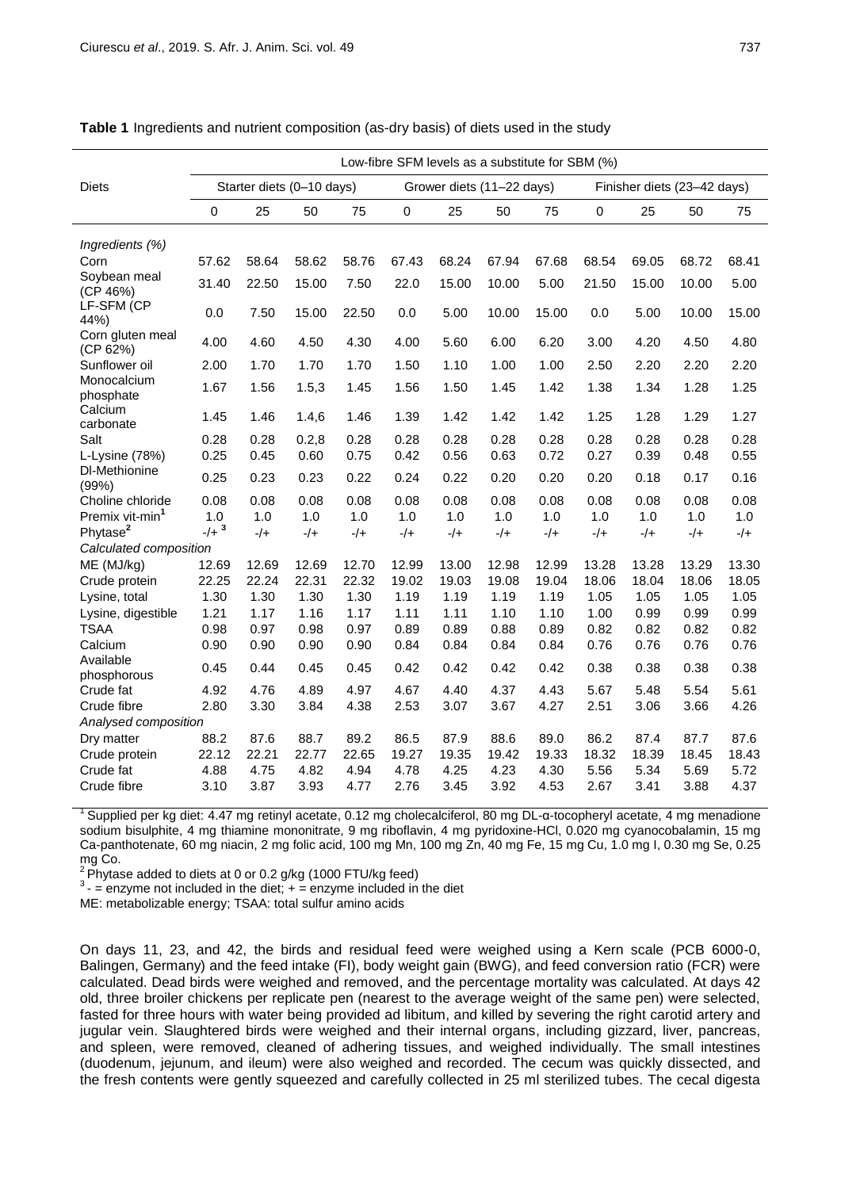|                              | Low-fibre SFM levels as a substitute for SBM (%) |                           |              |              |              |                           |              |              |                             |              |              |              |  |
|------------------------------|--------------------------------------------------|---------------------------|--------------|--------------|--------------|---------------------------|--------------|--------------|-----------------------------|--------------|--------------|--------------|--|
| <b>Diets</b>                 |                                                  | Starter diets (0-10 days) |              |              |              | Grower diets (11-22 days) |              |              | Finisher diets (23-42 days) |              |              |              |  |
|                              | 0                                                | 25                        | 50           | 75           | 0            | 25                        | 50           | 75           | 0                           | 25           | 50           | 75           |  |
| Ingredients (%)              |                                                  |                           |              |              |              |                           |              |              |                             |              |              |              |  |
| Corn                         | 57.62                                            | 58.64                     | 58.62        | 58.76        | 67.43        | 68.24                     | 67.94        | 67.68        | 68.54                       | 69.05        | 68.72        | 68.41        |  |
| Soybean meal<br>(CP 46%)     | 31.40                                            | 22.50                     | 15.00        | 7.50         | 22.0         | 15.00                     | 10.00        | 5.00         | 21.50                       | 15.00        | 10.00        | 5.00         |  |
| LF-SFM (CP<br>44%)           | 0.0                                              | 7.50                      | 15.00        | 22.50        | 0.0          | 5.00                      | 10.00        | 15.00        | 0.0                         | 5.00         | 10.00        | 15.00        |  |
| Corn gluten meal<br>(CP 62%) | 4.00                                             | 4.60                      | 4.50         | 4.30         | 4.00         | 5.60                      | 6.00         | 6.20         | 3.00                        | 4.20         | 4.50         | 4.80         |  |
| Sunflower oil                | 2.00                                             | 1.70                      | 1.70         | 1.70         | 1.50         | 1.10                      | 1.00         | 1.00         | 2.50                        | 2.20         | 2.20         | 2.20         |  |
| Monocalcium<br>phosphate     | 1.67                                             | 1.56                      | 1.5,3        | 1.45         | 1.56         | 1.50                      | 1.45         | 1.42         | 1.38                        | 1.34         | 1.28         | 1.25         |  |
| Calcium<br>carbonate         | 1.45                                             | 1.46                      | 1.4,6        | 1.46         | 1.39         | 1.42                      | 1.42         | 1.42         | 1.25                        | 1.28         | 1.29         | 1.27         |  |
| Salt                         | 0.28                                             | 0.28                      | 0.2,8        | 0.28         | 0.28         | 0.28                      | 0.28         | 0.28         | 0.28                        | 0.28         | 0.28         | 0.28         |  |
| L-Lysine $(78%)$             | 0.25                                             | 0.45                      | 0.60         | 0.75         | 0.42         | 0.56                      | 0.63         | 0.72         | 0.27                        | 0.39         | 0.48         | 0.55         |  |
| DI-Methionine<br>(99%)       | 0.25                                             | 0.23                      | 0.23         | 0.22         | 0.24         | 0.22                      | 0.20         | 0.20         | 0.20                        | 0.18         | 0.17         | 0.16         |  |
| Choline chloride             | 0.08                                             | 0.08                      | 0.08         | 0.08         | 0.08         | 0.08                      | 0.08         | 0.08         | 0.08                        | 0.08         | 0.08         | 0.08         |  |
| Premix vit-min <sup>1</sup>  | 1.0                                              | 1.0                       | 1.0          | 1.0          | 1.0          | 1.0                       | 1.0          | 1.0          | 1.0                         | 1.0          | 1.0          | 1.0          |  |
| Phytase <sup>2</sup>         | $-/-^{3}$                                        | $-/-$                     | $-/-$        | $-/-$        | $-/-$        | $-/-$                     | $-/-$        | $-/-$        | $-/+$                       | $-/-$        | $-/-$        | $-/-$        |  |
| Calculated composition       |                                                  |                           |              |              |              |                           |              |              |                             |              |              |              |  |
| ME (MJ/kg)                   | 12.69                                            | 12.69                     | 12.69        | 12.70        | 12.99        | 13.00                     | 12.98        | 12.99        | 13.28                       | 13.28        | 13.29        | 13.30        |  |
| Crude protein                | 22.25                                            | 22.24                     | 22.31        | 22.32        | 19.02        | 19.03                     | 19.08        | 19.04        | 18.06                       | 18.04        | 18.06        | 18.05        |  |
| Lysine, total                | 1.30                                             | 1.30                      | 1.30         | 1.30         | 1.19         | 1.19                      | 1.19         | 1.19         | 1.05                        | 1.05         | 1.05         | 1.05         |  |
| Lysine, digestible           | 1.21                                             | 1.17                      | 1.16         | 1.17         | 1.11         | 1.11                      | 1.10         | 1.10         | 1.00                        | 0.99         | 0.99         | 0.99         |  |
| <b>TSAA</b><br>Calcium       | 0.98<br>0.90                                     | 0.97<br>0.90              | 0.98<br>0.90 | 0.97<br>0.90 | 0.89<br>0.84 | 0.89<br>0.84              | 0.88<br>0.84 | 0.89<br>0.84 | 0.82<br>0.76                | 0.82<br>0.76 | 0.82<br>0.76 | 0.82<br>0.76 |  |
| Available                    |                                                  |                           |              |              |              |                           |              |              |                             |              |              |              |  |
| phosphorous                  | 0.45                                             | 0.44                      | 0.45         | 0.45         | 0.42         | 0.42                      | 0.42         | 0.42         | 0.38                        | 0.38         | 0.38         | 0.38         |  |
| Crude fat                    | 4.92                                             | 4.76                      | 4.89         | 4.97         | 4.67         | 4.40                      | 4.37         | 4.43         | 5.67                        | 5.48         | 5.54         | 5.61         |  |
| Crude fibre                  | 2.80                                             | 3.30                      | 3.84         | 4.38         | 2.53         | 3.07                      | 3.67         | 4.27         | 2.51                        | 3.06         | 3.66         | 4.26         |  |
| Analysed composition         |                                                  |                           |              |              |              |                           |              |              |                             |              |              |              |  |
| Dry matter                   | 88.2                                             | 87.6                      | 88.7         | 89.2         | 86.5         | 87.9                      | 88.6         | 89.0         | 86.2                        | 87.4         | 87.7         | 87.6         |  |
| Crude protein                | 22.12                                            | 22.21                     | 22.77        | 22.65        | 19.27        | 19.35                     | 19.42        | 19.33        | 18.32                       | 18.39        | 18.45        | 18.43        |  |
| Crude fat                    | 4.88                                             | 4.75                      | 4.82         | 4.94         | 4.78         | 4.25                      | 4.23         | 4.30         | 5.56                        | 5.34         | 5.69         | 5.72         |  |
| Crude fibre                  | 3.10                                             | 3.87                      | 3.93         | 4.77         | 2.76         | 3.45                      | 3.92         | 4.53         | 2.67                        | 3.41         | 3.88         | 4.37         |  |

|  | Table 1 Ingredients and nutrient composition (as-dry basis) of diets used in the study |  |  |  |  |  |  |  |  |  |  |
|--|----------------------------------------------------------------------------------------|--|--|--|--|--|--|--|--|--|--|
|--|----------------------------------------------------------------------------------------|--|--|--|--|--|--|--|--|--|--|

1 Supplied per kg diet: 4.47 mg retinyl acetate, 0.12 mg cholecalciferol, 80 mg DL-α-tocopheryl acetate, 4 mg menadione sodium bisulphite, 4 mg thiamine mononitrate, 9 mg riboflavin, 4 mg pyridoxine-HCl, 0.020 mg cyanocobalamin, 15 mg Ca-panthotenate, 60 mg niacin, 2 mg folic acid, 100 mg Mn, 100 mg Zn, 40 mg Fe, 15 mg Cu, 1.0 mg I, 0.30 mg Se, 0.25 mg Co.

 $2$  Phytase added to diets at 0 or 0.2 g/kg (1000 FTU/kg feed)

 $3 -$  = enzyme not included in the diet;  $+$  = enzyme included in the diet

ME: metabolizable energy; TSAA: total sulfur amino acids

On days 11, 23, and 42, the birds and residual feed were weighed using a Kern scale (PCB 6000-0, Balingen, Germany) and the feed intake (FI), body weight gain (BWG), and feed conversion ratio (FCR) were calculated. Dead birds were weighed and removed, and the percentage mortality was calculated. At days 42 old, three broiler chickens per replicate pen (nearest to the average weight of the same pen) were selected, fasted for three hours with water being provided ad libitum, and killed by severing the right carotid artery and jugular vein. Slaughtered birds were weighed and their internal organs, including gizzard, liver, pancreas, and spleen, were removed, cleaned of adhering tissues, and weighed individually. The small intestines (duodenum, jejunum, and ileum) were also weighed and recorded. The cecum was quickly dissected, and the fresh contents were gently squeezed and carefully collected in 25 ml sterilized tubes. The cecal digesta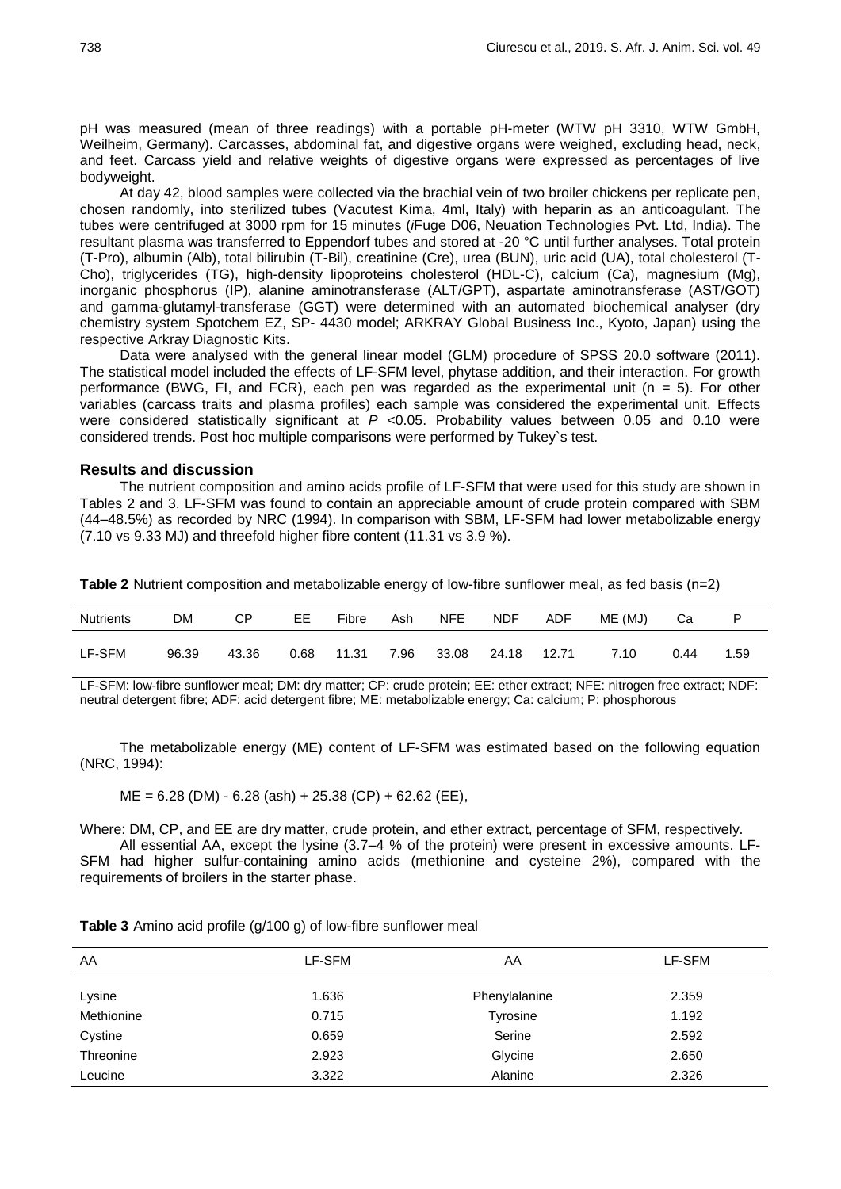pH was measured (mean of three readings) with a portable pH-meter (WTW pH 3310, WTW GmbH, Weilheim, Germany). Carcasses, abdominal fat, and digestive organs were weighed, excluding head, neck, and feet. Carcass yield and relative weights of digestive organs were expressed as percentages of live bodyweight.

At day 42, blood samples were collected via the brachial vein of two broiler chickens per replicate pen, chosen randomly, into sterilized tubes (Vacutest Kima, 4ml, Italy) with heparin as an anticoagulant. The tubes were centrifuged at 3000 rpm for 15 minutes (*i*Fuge D06, Neuation Technologies Pvt. Ltd, India). The resultant plasma was transferred to Eppendorf tubes and stored at -20 °C until further analyses. Total protein (T-Pro), albumin (Alb), total bilirubin (T-Bil), creatinine (Cre), urea (BUN), uric acid (UA), total cholesterol (T-Cho), triglycerides (TG), high-density lipoproteins cholesterol (HDL-C), calcium (Ca), magnesium (Mg), inorganic phosphorus (IP), alanine aminotransferase (ALT/GPT), aspartate aminotransferase (AST/GOT) and gamma-glutamyl-transferase (GGT) were determined with an automated biochemical analyser (dry chemistry system Spotchem EZ, SP- 4430 model; ARKRAY Global Business Inc., Kyoto, Japan) using the respective Arkray Diagnostic Kits.

Data were analysed with the general linear model (GLM) procedure of SPSS 20.0 software (2011). The statistical model included the effects of LF-SFM level, phytase addition, and their interaction. For growth performance (BWG, FI, and FCR), each pen was regarded as the experimental unit ( $n = 5$ ). For other variables (carcass traits and plasma profiles) each sample was considered the experimental unit. Effects were considered statistically significant at *P* <0.05. Probability values between 0.05 and 0.10 were considered trends. Post hoc multiple comparisons were performed by Tukey`s test.

### **Results and discussion**

The nutrient composition and amino acids profile of LF-SFM that were used for this study are shown in Tables 2 and 3. LF-SFM was found to contain an appreciable amount of crude protein compared with SBM (44–48.5%) as recorded by NRC (1994). In comparison with SBM, LF-SFM had lower metabolizable energy (7.10 vs 9.33 MJ) and threefold higher fibre content (11.31 vs 3.9 %).

| <b>Nutrients</b> | DМ    | СP    | EЕ   | Fibre | Ash  | NFE   | NDF   | ADF   | ME (MJ) | Ca   |      |
|------------------|-------|-------|------|-------|------|-------|-------|-------|---------|------|------|
| LF-SFM           | 96.39 | 43.36 | 0.68 | 11.31 | 7.96 | 33.08 | 24.18 | 12.71 | 7.10    | 0.44 | 1.59 |

**Table 2** Nutrient composition and metabolizable energy of low-fibre sunflower meal, as fed basis (n=2)

LF-SFM: low-fibre sunflower meal; DM: dry matter; CP: crude protein; EE: ether extract; NFE: nitrogen free extract; NDF: neutral detergent fibre; ADF: acid detergent fibre; ME: metabolizable energy; Ca: calcium; P: phosphorous

The metabolizable energy (ME) content of LF-SFM was estimated based on the following equation (NRC, 1994):

 $ME = 6.28$  (DM) - 6.28 (ash) + 25.38 (CP) + 62.62 (EE),

Where: DM, CP, and EE are dry matter, crude protein, and ether extract, percentage of SFM, respectively.

All essential AA, except the lysine (3.7–4 % of the protein) were present in excessive amounts. LF-SFM had higher sulfur-containing amino acids (methionine and cysteine 2%), compared with the requirements of broilers in the starter phase.

| AA         | LF-SFM | AA              | LF-SFM |
|------------|--------|-----------------|--------|
| Lysine     | 1.636  | Phenylalanine   | 2.359  |
| Methionine | 0.715  | <b>Tyrosine</b> | 1.192  |
| Cystine    | 0.659  | Serine          | 2.592  |
| Threonine  | 2.923  | Glycine         | 2.650  |
| Leucine    | 3.322  | Alanine         | 2.326  |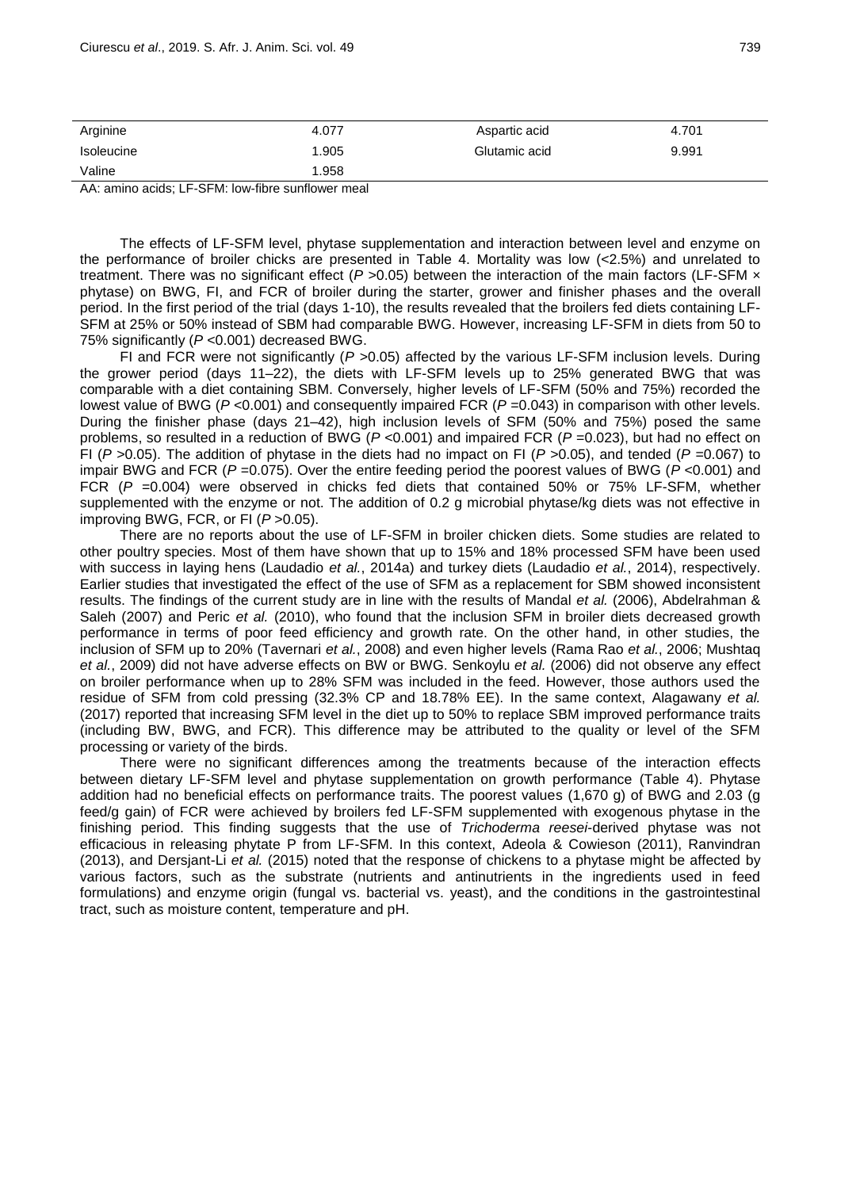AA: amino acids; LF-SFM: low-fibre sunflower meal

The effects of LF-SFM level, phytase supplementation and interaction between level and enzyme on the performance of broiler chicks are presented in Table 4. Mortality was low (<2.5%) and unrelated to treatment. There was no significant effect (P > 0.05) between the interaction of the main factors (LF-SFM x phytase) on BWG, FI, and FCR of broiler during the starter, grower and finisher phases and the overall period. In the first period of the trial (days 1-10), the results revealed that the broilers fed diets containing LF-SFM at 25% or 50% instead of SBM had comparable BWG. However, increasing LF-SFM in diets from 50 to 75% significantly (*P* <0.001) decreased BWG.

FI and FCR were not significantly (*P* >0.05) affected by the various LF-SFM inclusion levels. During the grower period (days 11–22), the diets with LF-SFM levels up to 25% generated BWG that was comparable with a diet containing SBM. Conversely, higher levels of LF-SFM (50% and 75%) recorded the lowest value of BWG (*P* <0.001) and consequently impaired FCR (*P* =0.043) in comparison with other levels. During the finisher phase (days 21–42), high inclusion levels of SFM (50% and 75%) posed the same problems, so resulted in a reduction of BWG (*P* <0.001) and impaired FCR (*P* =0.023), but had no effect on FI (*P* >0.05). The addition of phytase in the diets had no impact on FI (*P* >0.05), and tended (*P* =0.067) to impair BWG and FCR (*P* =0.075). Over the entire feeding period the poorest values of BWG (*P* <0.001) and FCR (*P* =0.004) were observed in chicks fed diets that contained 50% or 75% LF-SFM, whether supplemented with the enzyme or not. The addition of 0.2 g microbial phytase/kg diets was not effective in improving BWG, FCR, or FI (*P* >0.05).

There are no reports about the use of LF-SFM in broiler chicken diets. Some studies are related to other poultry species. Most of them have shown that up to 15% and 18% processed SFM have been used with success in laying hens (Laudadio *et al.*, 2014a) and turkey diets (Laudadio *et al.*, 2014), respectively. Earlier studies that investigated the effect of the use of SFM as a replacement for SBM showed inconsistent results. The findings of the current study are in line with the results of Mandal *et al.* (2006), Abdelrahman & Saleh (2007) and Peric *et al.* (2010), who found that the inclusion SFM in broiler diets decreased growth performance in terms of poor feed efficiency and growth rate. On the other hand, in other studies, the inclusion of SFM up to 20% (Tavernari *et al.*, 2008) and even higher levels (Rama Rao *et al.*, 2006; Mushtaq *et al.*, 2009) did not have adverse effects on BW or BWG. Senkoylu *et al.* (2006) did not observe any effect on broiler performance when up to 28% SFM was included in the feed. However, those authors used the residue of SFM from cold pressing (32.3% CP and 18.78% EE). In the same context, Alagawany *et al.* (2017) reported that increasing SFM level in the diet up to 50% to replace SBM improved performance traits (including BW, BWG, and FCR). This difference may be attributed to the quality or level of the SFM processing or variety of the birds.

There were no significant differences among the treatments because of the interaction effects between dietary LF-SFM level and phytase supplementation on growth performance (Table 4). Phytase addition had no beneficial effects on performance traits. The poorest values (1,670 g) of BWG and 2.03 (g feed/g gain) of FCR were achieved by broilers fed LF-SFM supplemented with exogenous phytase in the finishing period. This finding suggests that the use of *Trichoderma reesei*-derived phytase was not efficacious in releasing phytate P from LF-SFM. In this context, Adeola & Cowieson (2011), Ranvindran (2013), and Dersjant-Li *et al.* (2015) noted that the response of chickens to a phytase might be affected by various factors, such as the substrate (nutrients and antinutrients in the ingredients used in feed formulations) and enzyme origin (fungal vs. bacterial vs. yeast), and the conditions in the gastrointestinal tract, such as moisture content, temperature and pH.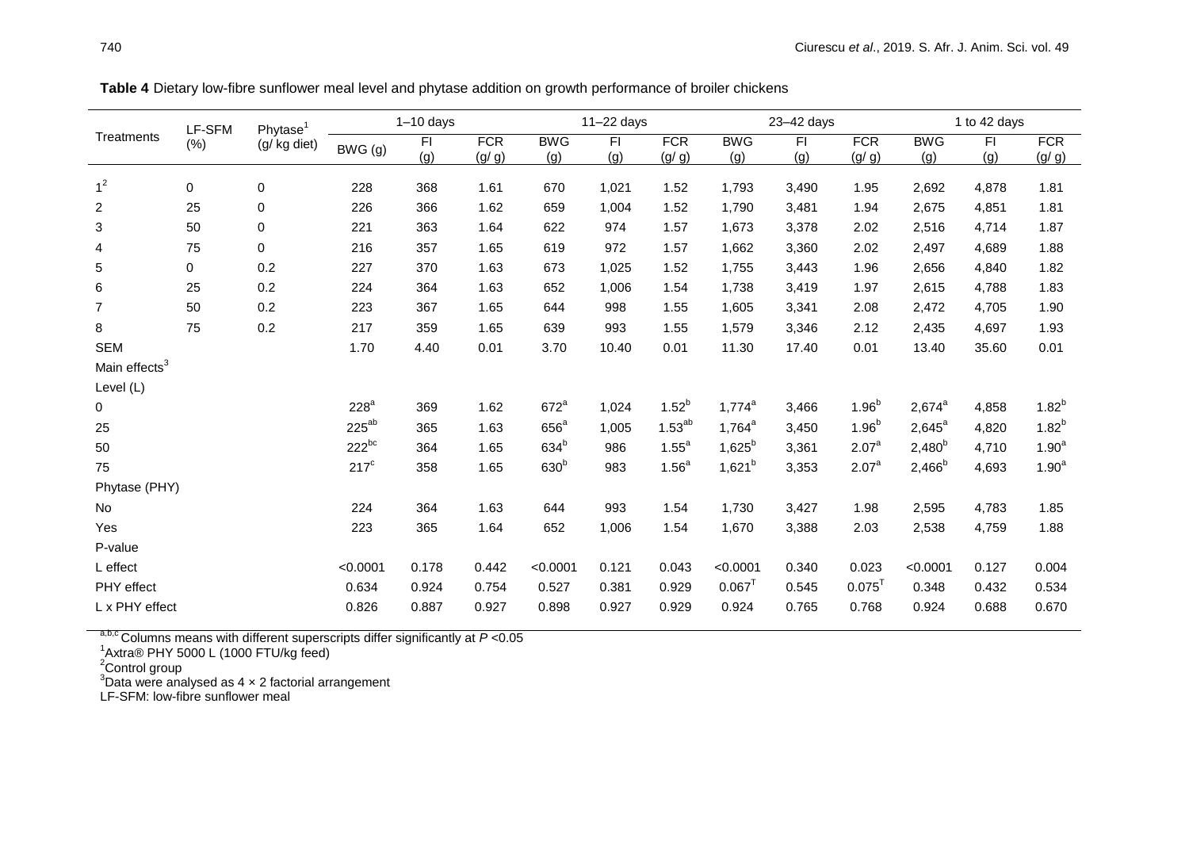| Phytase <sup>1</sup><br>LF-SFM<br><b>Treatments</b>                                                                                                                                                                                  |                     |
|--------------------------------------------------------------------------------------------------------------------------------------------------------------------------------------------------------------------------------------|---------------------|
| <b>FCR</b><br><b>BWG</b><br><b>FCR</b><br><b>BWG</b><br><b>BWG</b><br>F <sub>1</sub><br>FI.<br>F1<br><b>FCR</b><br>FI.<br>(%)<br>(g/ kg diet)<br>BWG (g)<br>(g)<br>(g/g)<br>(g)<br>(g)<br>(g/g)<br>(g)<br>(g)<br>(g/g)<br>(g)<br>(g) | <b>FCR</b><br>(g/g) |
| 1 <sup>2</sup><br>0<br>$\mathbf 0$<br>368<br>1,021<br>228<br>1.61<br>670<br>1.52<br>1,793<br>3,490<br>2,692<br>4,878<br>1.95                                                                                                         | 1.81                |
| $\overline{2}$<br>25<br>$\mathbf 0$<br>226<br>366<br>1.62<br>659<br>1,004<br>1.52<br>1,790<br>3,481<br>2,675<br>4,851<br>1.94                                                                                                        | 1.81                |
| 3<br>$\pmb{0}$<br>50<br>221<br>363<br>622<br>974<br>1.64<br>1.57<br>1,673<br>3,378<br>2,516<br>4,714<br>2.02                                                                                                                         | 1.87                |
| 75<br>$\mathbf 0$<br>357<br>972<br>4<br>216<br>1.65<br>619<br>1.57<br>1,662<br>3,360<br>2,497<br>4,689<br>2.02                                                                                                                       | 1.88                |
| 0.2<br>5<br>1,025<br>0<br>227<br>370<br>1.63<br>673<br>1.52<br>1,755<br>2,656<br>3,443<br>1.96<br>4.840                                                                                                                              | 1.82                |
| 6<br>0.2<br>25<br>364<br>1,006<br>224<br>1.63<br>652<br>1.54<br>1,738<br>3,419<br>2,615<br>4,788<br>1.97                                                                                                                             | 1.83                |
| $\overline{7}$<br>50<br>0.2<br>223<br>367<br>1.65<br>644<br>998<br>1.55<br>3,341<br>2,472<br>1,605<br>2.08<br>4,705                                                                                                                  | 1.90                |
| 8<br>75<br>0.2<br>217<br>1.55<br>359<br>1.65<br>639<br>993<br>1,579<br>3,346<br>2.12<br>2,435<br>4,697                                                                                                                               | 1.93                |
| <b>SEM</b><br>1.70<br>4.40<br>0.01<br>3.70<br>10.40<br>0.01<br>11.30<br>17.40<br>13.40<br>35.60<br>0.01                                                                                                                              | 0.01                |
| Main effects <sup>3</sup>                                                                                                                                                                                                            |                     |
| Level (L)                                                                                                                                                                                                                            |                     |
| $1.52^{b}$<br>$1.96^{b}$<br>228 <sup>a</sup><br>$672^a$<br>$1,774^a$<br>$2,674^a$<br>369<br>1.62<br>1,024<br>3,466<br>4,858<br>0                                                                                                     | $1.82^{b}$          |
| $225^{ab}$<br>$1.53^{ab}$<br>$656^a$<br>$1.96^{b}$<br>$2,645^{\circ}$<br>25<br>1,005<br>$1,764^a$<br>365<br>1.63<br>3,450<br>4,820                                                                                                   | $1.82^{b}$          |
| $222^{bc}$<br>634 <sup>b</sup><br>$1.55^a$<br>$1,625^{b}$<br>$2,480^{b}$<br>2.07 <sup>a</sup><br>50<br>364<br>1.65<br>986<br>3,361<br>4,710                                                                                          | 1.90 <sup>a</sup>   |
| 630 <sup>b</sup><br>1.56 <sup>a</sup><br>$1,621^{b}$<br>$217^{\circ}$<br>$2,466^{b}$<br>$2.07^{\circ}$<br>75<br>358<br>1.65<br>983<br>3,353<br>4,693                                                                                 | 1.90 <sup>a</sup>   |
| Phytase (PHY)                                                                                                                                                                                                                        |                     |
| 224<br>364<br>1.63<br>644<br>993<br>3,427<br>No<br>1.54<br>1,730<br>1.98<br>2,595<br>4,783                                                                                                                                           | 1.85                |
| 223<br>Yes<br>365<br>1.64<br>652<br>1,006<br>1.54<br>3,388<br>2,538<br>4,759<br>1,670<br>2.03                                                                                                                                        | 1.88                |
| P-value                                                                                                                                                                                                                              |                     |
| L effect<br>< 0.0001<br>0.121<br>< 0.0001<br>< 0.0001<br>0.178<br>0.442<br>0.043<br>< 0.0001<br>0.340<br>0.023<br>0.127                                                                                                              | 0.004               |
| $0.067$ <sup>T</sup><br>$0.075$ <sup>T</sup><br>PHY effect<br>0.929<br>0.634<br>0.924<br>0.754<br>0.527<br>0.381<br>0.545<br>0.348<br>0.432                                                                                          | 0.534               |
| L x PHY effect<br>0.826<br>0.898<br>0.927<br>0.929<br>0.924<br>0.765<br>0.768<br>0.924<br>0.688<br>0.887<br>0.927                                                                                                                    | 0.670               |

**Table 4** Dietary low-fibre sunflower meal level and phytase addition on growth performance of broiler chickens

<sup>a,b,c</sup> Columns means with different superscripts differ significantly at *P* <0.05<br><sup>1</sup>Axtra® PHY 5000 L (1000 FTU/kg feed)

<sup>2</sup>Control group

 $3$ Data were analysed as 4  $\times$  2 factorial arrangement

LF-SFM: low-fibre sunflower meal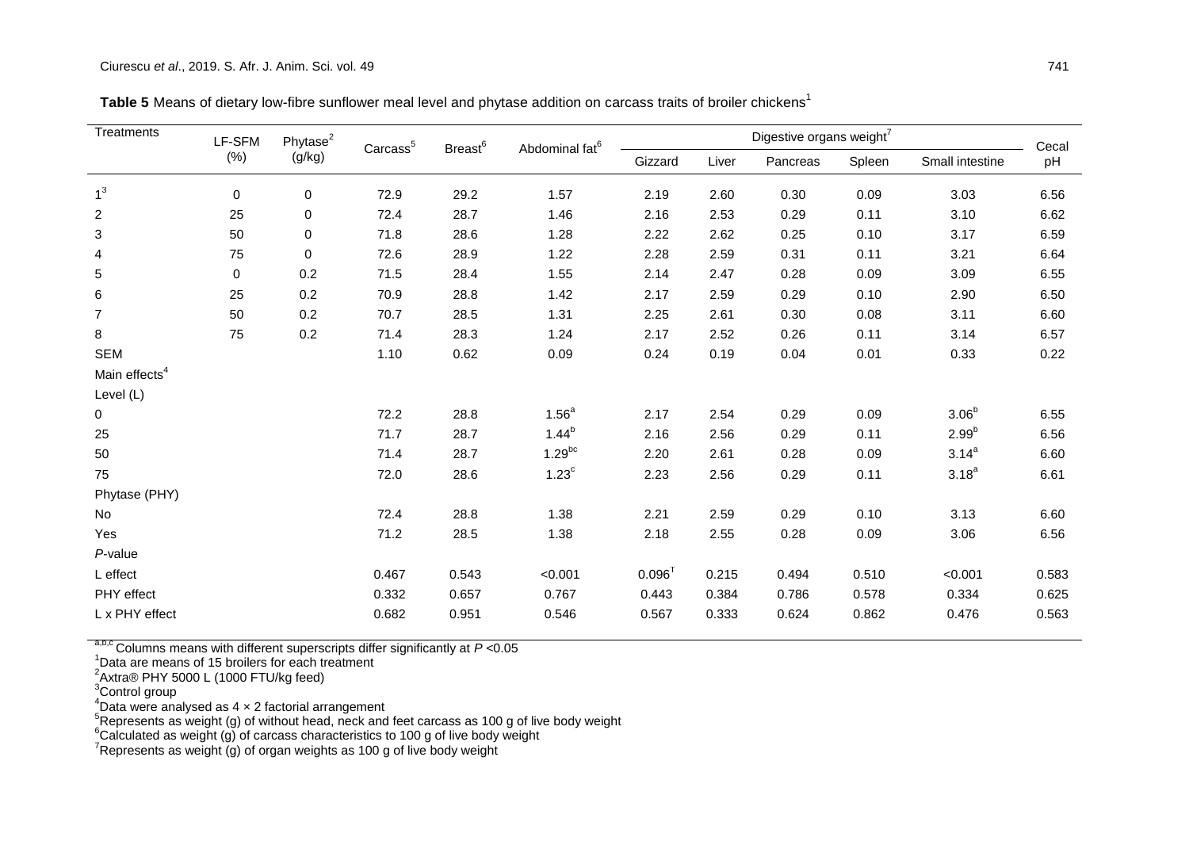| Treatments                | LF-SFM | Phytase <sup>2</sup> | Carcass <sup>5</sup> | Breast <sup>6</sup> | Abdominal fat <sup>6</sup> |             |       | Digestive organs weight <sup>7</sup> |        |                   | Cecal |  |
|---------------------------|--------|----------------------|----------------------|---------------------|----------------------------|-------------|-------|--------------------------------------|--------|-------------------|-------|--|
|                           | (% )   | (g/kg)               |                      |                     |                            | Gizzard     | Liver |                                      | Spleen | Small intestine   | pH    |  |
| 1 <sup>3</sup>            | 0      | 0                    | 72.9                 | 29.2                | 1.57                       | 2.19        | 2.60  | 0.30                                 | 0.09   | 3.03              | 6.56  |  |
| $\overline{c}$            | 25     | $\pmb{0}$            | 72.4                 | 28.7                | 1.46                       | 2.16        | 2.53  | 0.29                                 | 0.11   | 3.10              | 6.62  |  |
| 3                         | 50     | 0                    | 71.8                 | 28.6                | 1.28                       | 2.22        | 2.62  | 0.25                                 | 0.10   | 3.17              | 6.59  |  |
| 4                         | 75     | $\pmb{0}$            | 72.6                 | 28.9                | 1.22                       | 2.28        | 2.59  | 0.31                                 | 0.11   | 3.21              | 6.64  |  |
| 5                         | 0      | 0.2                  | 71.5                 | 28.4                | 1.55                       | 2.14        | 2.47  | 0.28                                 | 0.09   | 3.09              | 6.55  |  |
| 6                         | 25     | 0.2                  | 70.9                 | 28.8                | 1.42                       | 2.17        | 2.59  | 0.29                                 | 0.10   | 2.90              | 6.50  |  |
| $\overline{7}$            | 50     | 0.2                  | 70.7                 | 28.5                | 1.31                       | 2.25        | 2.61  | 0.30                                 | 0.08   | 3.11              | 6.60  |  |
| 8                         | 75     | 0.2                  | 71.4                 | 28.3                | 1.24                       | 2.17        | 2.52  | 0.26                                 | 0.11   | 3.14              | 6.57  |  |
| <b>SEM</b>                |        |                      | 1.10                 | 0.62                | 0.09                       | 0.24        | 0.19  | 0.04                                 | 0.01   | 0.33              | 0.22  |  |
| Main effects <sup>4</sup> |        |                      |                      |                     |                            |             |       |                                      |        |                   |       |  |
| Level (L)                 |        |                      |                      |                     |                            |             |       |                                      |        |                   |       |  |
| 0                         |        |                      | 72.2                 | 28.8                | 1.56 <sup>a</sup>          | 2.17        | 2.54  | 0.29                                 | 0.09   | 3.06 <sup>b</sup> | 6.55  |  |
| 25                        |        |                      | 71.7                 | 28.7                | $1.44^{b}$                 | 2.16        | 2.56  | 0.29                                 | 0.11   | $2.99^{b}$        | 6.56  |  |
| 50                        |        |                      | 71.4                 | 28.7                | $1.29^{bc}$                | 2.20        | 2.61  | 0.28                                 | 0.09   | $3.14^{a}$        | 6.60  |  |
| 75                        |        |                      | 72.0                 | 28.6                | 1.23 <sup>c</sup>          | 2.23        | 2.56  | 0.29                                 | 0.11   | $3.18^{a}$        | 6.61  |  |
| Phytase (PHY)             |        |                      |                      |                     |                            |             |       |                                      |        |                   |       |  |
| No                        |        |                      | 72.4                 | 28.8                | 1.38                       | 2.21        | 2.59  | 0.29                                 | 0.10   | 3.13              | 6.60  |  |
| Yes                       |        |                      | 71.2                 | 28.5                | 1.38                       | 2.18        | 2.55  | 0.28                                 | 0.09   | 3.06              | 6.56  |  |
| P-value                   |        |                      |                      |                     |                            |             |       |                                      |        |                   |       |  |
| L effect                  |        |                      | 0.467                | 0.543               | < 0.001                    | $0.096^{T}$ | 0.215 | 0.494                                | 0.510  | < 0.001           | 0.583 |  |
| PHY effect                |        |                      | 0.332                | 0.657               | 0.767                      | 0.443       | 0.384 | 0.786                                | 0.578  | 0.334             | 0.625 |  |
| L x PHY effect            |        |                      | 0.682                | 0.951               | 0.546                      | 0.567       | 0.333 | 0.624                                | 0.862  | 0.476             | 0.563 |  |

Table 5 Means of dietary low-fibre sunflower meal level and phytase addition on carcass traits of broiler chickens<sup>1</sup>

a,b,c Columns means with different superscripts differ significantly at *P* <0.05

<sup>1</sup>Data are means of 15 broilers for each treatment<br><sup>2</sup>Axtra® PHY 5000 L (1000 FTU/kg feed)

<sup>3</sup>Control group

 $4$ Data were analysed as 4  $\times$  2 factorial arrangement

 $5$ Represents as weight (g) of without head, neck and feet carcass as 100 g of live body weight

 $^6$ Calculated as weight (g) of carcass characteristics to 100 g of live body weight

Represents as weight  $\vec{q}$ ) of organ weights as 100 g of live body weight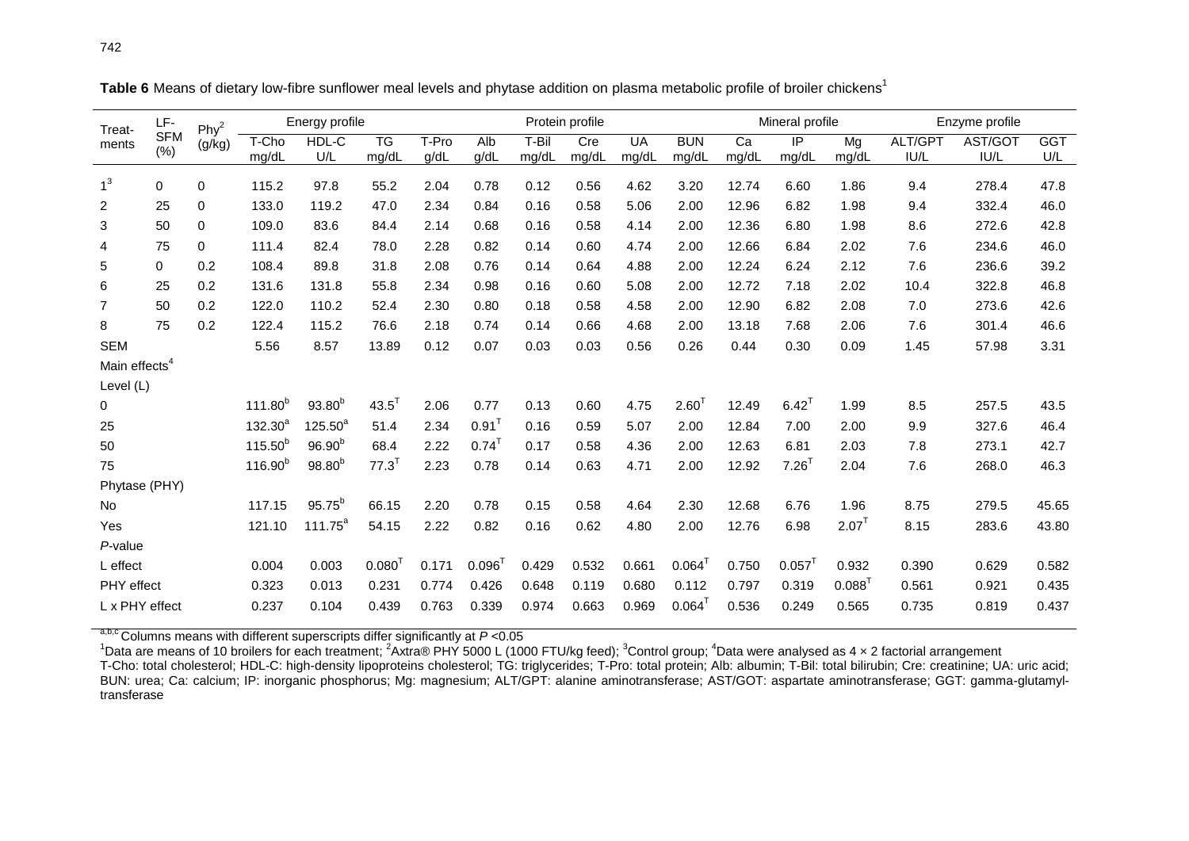| LF-<br>Treat-             |                   | Phy <sup>2</sup> | Energy profile |                    |                          |       | Protein profile     |       |                   |           |                      |       | Mineral profile      |          | Enzyme profile |         |            |
|---------------------------|-------------------|------------------|----------------|--------------------|--------------------------|-------|---------------------|-------|-------------------|-----------|----------------------|-------|----------------------|----------|----------------|---------|------------|
| ments                     | <b>SFM</b><br>(%) | (g/kg)           | T-Cho          | HDL-C              | $\overline{\mathsf{TG}}$ | T-Pro | Alb                 | T-Bil | $\overline{C}$ re | <b>UA</b> | <b>BUN</b>           | Ca    | $\overline{P}$       | Mg       | ALT/GPT        | AST/GOT | <b>GGT</b> |
|                           |                   |                  | mg/dL          | U/L                | mg/dL                    | g/dL  | g/dL                | mg/dL | mg/dL             | mg/dL     | mg/dL                | mg/dL | mg/dL                | mg/dL    | IUI/L          | IU/L    | U/L        |
| 1 <sup>3</sup>            | 0                 | 0                | 115.2          | 97.8               | 55.2                     | 2.04  | 0.78                | 0.12  | 0.56              | 4.62      | 3.20                 | 12.74 | 6.60                 | 1.86     | 9.4            | 278.4   | 47.8       |
| 2                         | 25                | 0                | 133.0          | 119.2              | 47.0                     | 2.34  | 0.84                | 0.16  | 0.58              | 5.06      | 2.00                 | 12.96 | 6.82                 | 1.98     | 9.4            | 332.4   | 46.0       |
| 3                         | 50                | 0                | 109.0          | 83.6               | 84.4                     | 2.14  | 0.68                | 0.16  | 0.58              | 4.14      | 2.00                 | 12.36 | 6.80                 | 1.98     | 8.6            | 272.6   | 42.8       |
| 4                         | 75                | 0                | 111.4          | 82.4               | 78.0                     | 2.28  | 0.82                | 0.14  | 0.60              | 4.74      | 2.00                 | 12.66 | 6.84                 | 2.02     | 7.6            | 234.6   | 46.0       |
| 5                         | 0                 | 0.2              | 108.4          | 89.8               | 31.8                     | 2.08  | 0.76                | 0.14  | 0.64              | 4.88      | 2.00                 | 12.24 | 6.24                 | 2.12     | 7.6            | 236.6   | 39.2       |
| 6                         | 25                | 0.2              | 131.6          | 131.8              | 55.8                     | 2.34  | 0.98                | 0.16  | 0.60              | 5.08      | 2.00                 | 12.72 | 7.18                 | 2.02     | 10.4           | 322.8   | 46.8       |
| $\overline{7}$            | 50                | 0.2              | 122.0          | 110.2              | 52.4                     | 2.30  | 0.80                | 0.18  | 0.58              | 4.58      | 2.00                 | 12.90 | 6.82                 | 2.08     | 7.0            | 273.6   | 42.6       |
| 8                         | 75                | 0.2              | 122.4          | 115.2              | 76.6                     | 2.18  | 0.74                | 0.14  | 0.66              | 4.68      | 2.00                 | 13.18 | 7.68                 | 2.06     | 7.6            | 301.4   | 46.6       |
| <b>SEM</b>                |                   |                  | 5.56           | 8.57               | 13.89                    | 0.12  | 0.07                | 0.03  | 0.03              | 0.56      | 0.26                 | 0.44  | 0.30                 | 0.09     | 1.45           | 57.98   | 3.31       |
| Main effects <sup>4</sup> |                   |                  |                |                    |                          |       |                     |       |                   |           |                      |       |                      |          |                |         |            |
| Level (L)                 |                   |                  |                |                    |                          |       |                     |       |                   |           |                      |       |                      |          |                |         |            |
| 0                         |                   |                  | $111.80^{b}$   | $93.80^{b}$        | $43.5^T$                 | 2.06  | 0.77                | 0.13  | 0.60              | 4.75      | $2.60^{T}$           | 12.49 | $6.42$ <sup>1</sup>  | 1.99     | 8.5            | 257.5   | 43.5       |
| 25                        |                   |                  | $132.30^{a}$   | $125.50^{a}$       | 51.4                     | 2.34  | $0.91$ <sup>T</sup> | 0.16  | 0.59              | 5.07      | 2.00                 | 12.84 | 7.00                 | 2.00     | 9.9            | 327.6   | 46.4       |
| 50                        |                   |                  | $115.50^{b}$   | 96.90 <sup>b</sup> | 68.4                     | 2.22  | $0.74$ <sup>T</sup> | 0.17  | 0.58              | 4.36      | 2.00                 | 12.63 | 6.81                 | 2.03     | 7.8            | 273.1   | 42.7       |
| 75                        |                   |                  | $116.90^{b}$   | $98.80^{b}$        | $77.3$ <sup>T</sup>      | 2.23  | 0.78                | 0.14  | 0.63              | 4.71      | 2.00                 | 12.92 | $7.26$ <sup>T</sup>  | 2.04     | 7.6            | 268.0   | 46.3       |
| Phytase (PHY)             |                   |                  |                |                    |                          |       |                     |       |                   |           |                      |       |                      |          |                |         |            |
| <b>No</b>                 |                   |                  | 117.15         | $95.75^{b}$        | 66.15                    | 2.20  | 0.78                | 0.15  | 0.58              | 4.64      | 2.30                 | 12.68 | 6.76                 | 1.96     | 8.75           | 279.5   | 45.65      |
| Yes                       |                   |                  | 121.10         | $111.75^a$         | 54.15                    | 2.22  | 0.82                | 0.16  | 0.62              | 4.80      | 2.00                 | 12.76 | 6.98                 | $2.07^T$ | 8.15           | 283.6   | 43.80      |
| P-value                   |                   |                  |                |                    |                          |       |                     |       |                   |           |                      |       |                      |          |                |         |            |
| L effect                  |                   |                  | 0.004          | 0.003              | 0.080                    | 0.171 | $0.096^{T}$         | 0.429 | 0.532             | 0.661     | $0.064$ <sup>1</sup> | 0.750 | $0.057$ <sup>1</sup> | 0.932    | 0.390          | 0.629   | 0.582      |
| <b>PHY</b> effect         |                   |                  | 0.323          | 0.013              | 0.231                    | 0.774 | 0.426               | 0.648 | 0.119             | 0.680     | 0.112                | 0.797 | 0.319                | 0.088    | 0.561          | 0.921   | 0.435      |
| L x PHY effect            |                   |                  | 0.237          | 0.104              | 0.439                    | 0.763 | 0.339               | 0.974 | 0.663             | 0.969     | 0.064                | 0.536 | 0.249                | 0.565    | 0.735          | 0.819   | 0.437      |

**Table 6** Means of dietary low-fibre sunflower meal levels and phytase addition on plasma metabolic profile of broiler chickens 1

a,b,c Columns means with different superscripts differ significantly at *P* <0.05

 $^1$ Data are means of 10 broilers for each treatment; <sup>2</sup>Axtra® PHY 5000 L (1000 FTU/kg feed); <sup>3</sup>Control group; <sup>4</sup>Data were analysed as 4 × 2 factorial arrangement

T-Cho: total cholesterol; HDL-C: high-density lipoproteins cholesterol; TG: triglycerides; T-Pro: total protein; Alb: albumin; T-Bil: total bilirubin; Cre: creatinine; UA: uric acid; BUN: urea; Ca: calcium; IP: inorganic phosphorus; Mg: magnesium; ALT/GPT: alanine aminotransferase; AST/GOT: aspartate aminotransferase; GGT: gamma-glutamyltransferase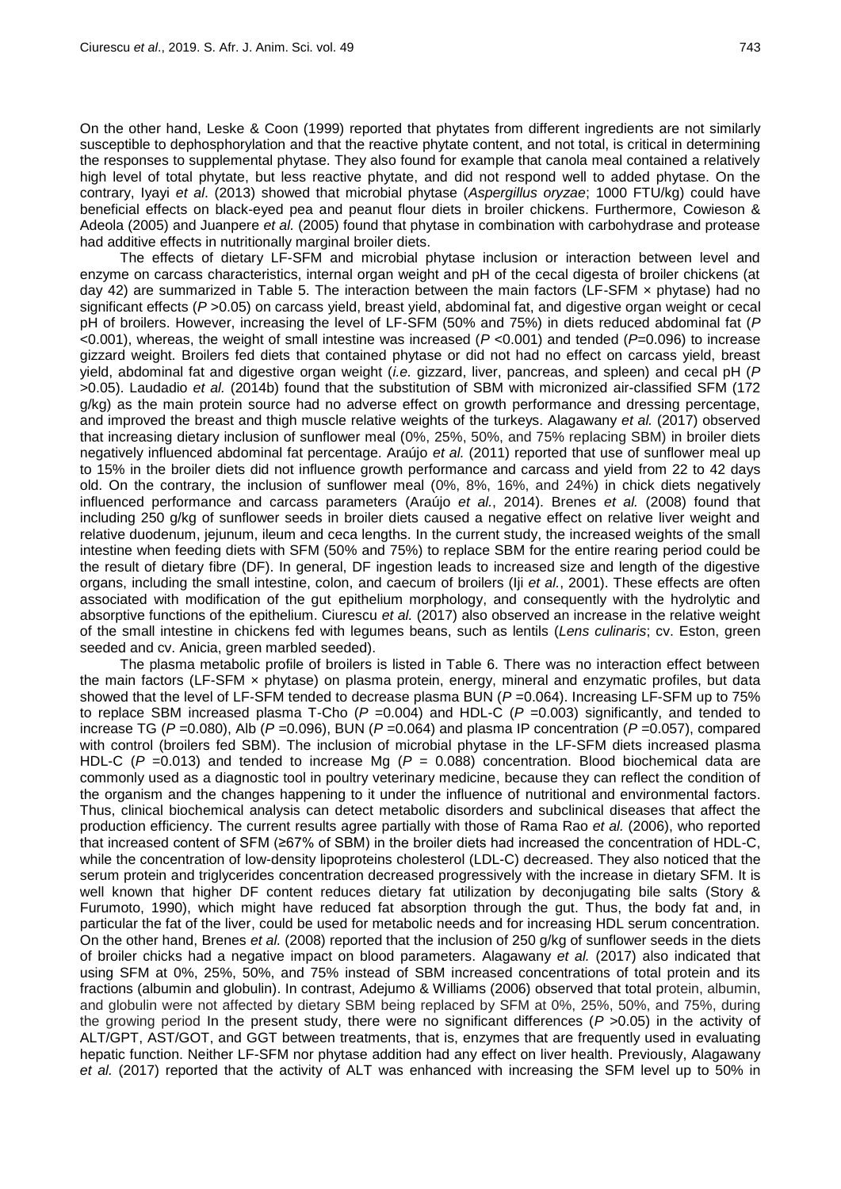On the other hand, Leske & Coon (1999) reported that phytates from different ingredients are not similarly susceptible to dephosphorylation and that the reactive phytate content, and not total, is critical in determining the responses to supplemental phytase. They also found for example that canola meal contained a relatively high level of total phytate, but less reactive phytate, and did not respond well to added phytase. On the contrary, Iyayi *et al*. (2013) showed that microbial phytase (*Aspergillus oryzae*; 1000 FTU/kg) could have beneficial effects on black-eyed pea and peanut flour diets in broiler chickens. Furthermore, Cowieson & Adeola (2005) and Juanpere *et al.* (2005) found that phytase in combination with carbohydrase and protease had additive effects in nutritionally marginal broiler diets.

The effects of dietary LF-SFM and microbial phytase inclusion or interaction between level and enzyme on carcass characteristics, internal organ weight and pH of the cecal digesta of broiler chickens (at day 42) are summarized in Table 5. The interaction between the main factors (LF-SFM x phytase) had no significant effects (*P* >0.05) on carcass yield, breast yield, abdominal fat, and digestive organ weight or cecal pH of broilers. However, increasing the level of LF-SFM (50% and 75%) in diets reduced abdominal fat (*P* <0.001), whereas, the weight of small intestine was increased (*P* <0.001) and tended (*P*=0.096) to increase gizzard weight. Broilers fed diets that contained phytase or did not had no effect on carcass yield, breast yield, abdominal fat and digestive organ weight (*i.e.* gizzard, liver, pancreas, and spleen) and cecal pH (*P* >0.05). Laudadio *et al.* (2014b) found that the substitution of SBM with micronized air-classified SFM (172 g/kg) as the main protein source had no adverse effect on growth performance and dressing percentage, and improved the breast and thigh muscle relative weights of the turkeys. Alagawany *et al.* (2017) observed that increasing dietary inclusion of sunflower meal (0%, 25%, 50%, and 75% replacing SBM) in broiler diets negatively influenced abdominal fat percentage. Araújo *et al.* (2011) reported that use of sunflower meal up to 15% in the broiler diets did not influence growth performance and carcass and yield from 22 to 42 days old. On the contrary, the inclusion of sunflower meal (0%, 8%, 16%, and 24%) in chick diets negatively influenced performance and carcass parameters (Araújo *et al.*, 2014). Brenes *et al.* (2008) found that including 250 g/kg of sunflower seeds in broiler diets caused a negative effect on relative liver weight and relative duodenum, jejunum, ileum and ceca lengths. In the current study, the increased weights of the small intestine when feeding diets with SFM (50% and 75%) to replace SBM for the entire rearing period could be the result of dietary fibre (DF). In general, DF ingestion leads to increased size and length of the digestive organs, including the small intestine, colon, and caecum of broilers (Iji *et al.*, 2001). These effects are often associated with modification of the gut epithelium morphology, and consequently with the hydrolytic and absorptive functions of the epithelium. Ciurescu *et al.* (2017) also observed an increase in the relative weight of the small intestine in chickens fed with legumes beans, such as lentils (*Lens culinaris*; cv. Eston, green seeded and cv. Anicia, green marbled seeded).

The plasma metabolic profile of broilers is listed in Table 6. There was no interaction effect between the main factors (LF-SFM × phytase) on plasma protein, energy, mineral and enzymatic profiles, but data showed that the level of LF-SFM tended to decrease plasma BUN ( $P = 0.064$ ). Increasing LF-SFM up to 75% to replace SBM increased plasma T-Cho  $(P = 0.004)$  and HDL-C  $(P = 0.003)$  significantly, and tended to increase TG (*P* =0.080), Alb (*P* =0.096), BUN (*P* =0.064) and plasma IP concentration (*P* =0.057), compared with control (broilers fed SBM). The inclusion of microbial phytase in the LF-SFM diets increased plasma HDL-C (*P* =0.013) and tended to increase Mg (*P* = 0.088) concentration. Blood biochemical data are commonly used as a diagnostic tool in poultry veterinary medicine, because they can reflect the condition of the organism and the changes happening to it under the influence of nutritional and environmental factors. Thus, clinical biochemical analysis can detect metabolic disorders and subclinical diseases that affect the production efficiency. The current results agree partially with those of Rama Rao *et al.* (2006), who reported that increased content of SFM (≥67% of SBM) in the broiler diets had increased the concentration of HDL-C, while the concentration of low-density lipoproteins cholesterol (LDL-C) decreased. They also noticed that the serum protein and triglycerides concentration decreased progressively with the increase in dietary SFM. It is well known that higher DF content reduces dietary fat utilization by deconjugating bile salts (Story & Furumoto, 1990), which might have reduced fat absorption through the gut. Thus, the body fat and, in particular the fat of the liver, could be used for metabolic needs and for increasing HDL serum concentration. On the other hand, Brenes *et al.* (2008) reported that the inclusion of 250 g/kg of sunflower seeds in the diets of broiler chicks had a negative impact on blood parameters. Alagawany *et al.* (2017) also indicated that using SFM at 0%, 25%, 50%, and 75% instead of SBM increased concentrations of total protein and its fractions (albumin and globulin). In contrast, Adejumo & Williams (2006) observed that total protein, albumin, and globulin were not affected by dietary SBM being replaced by SFM at 0%, 25%, 50%, and 75%, during the growing period In the present study, there were no significant differences (*P* >0.05) in the activity of ALT/GPT, AST/GOT, and GGT between treatments, that is, enzymes that are frequently used in evaluating hepatic function. Neither LF-SFM nor phytase addition had any effect on liver health. Previously, Alagawany *et al.* (2017) reported that the activity of ALT was enhanced with increasing the SFM level up to 50% in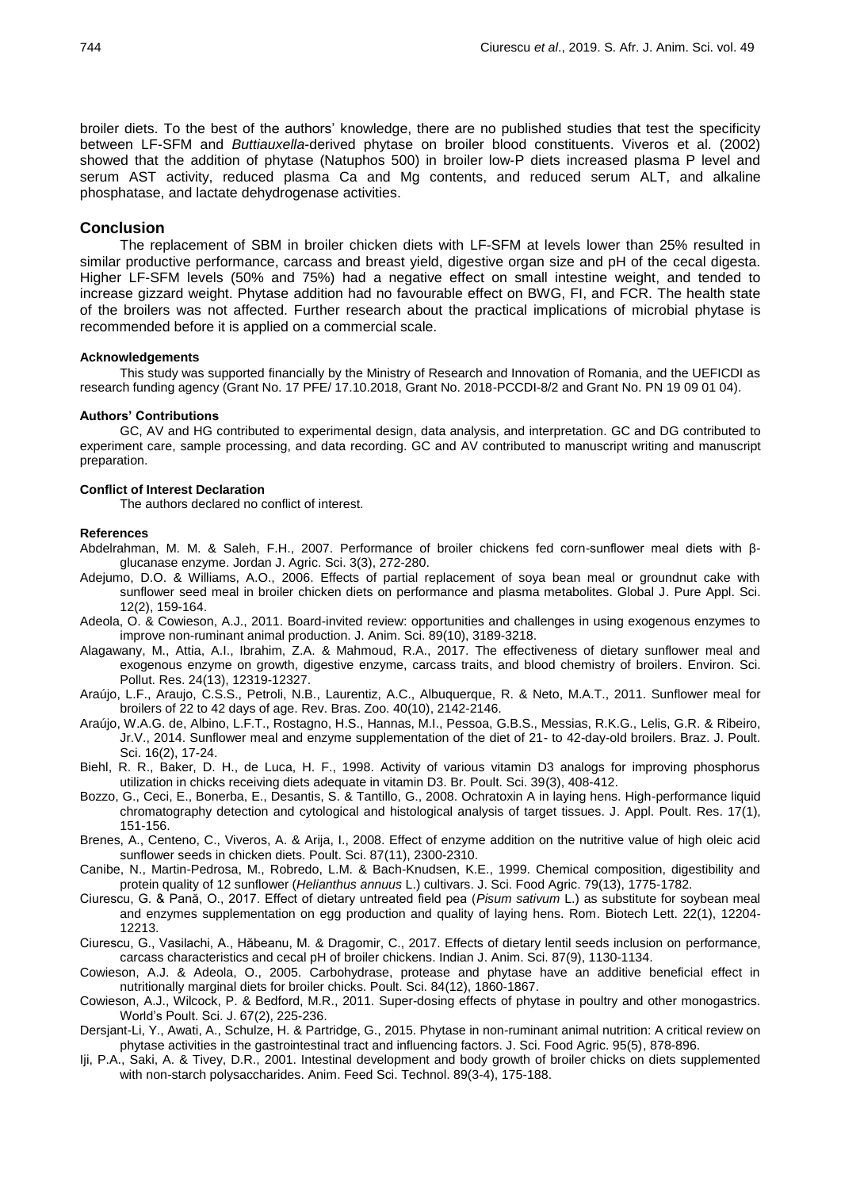broiler diets. To the best of the authors' knowledge, there are no published studies that test the specificity between LF-SFM and *Buttiauxella*-derived phytase on broiler blood constituents. Viveros et al. (2002) showed that the addition of phytase (Natuphos 500) in broiler low-P diets increased plasma P level and serum AST activity, reduced plasma Ca and Mg contents, and reduced serum ALT, and alkaline phosphatase, and lactate dehydrogenase activities.

### **Conclusion**

The replacement of SBM in broiler chicken diets with LF-SFM at levels lower than 25% resulted in similar productive performance, carcass and breast yield, digestive organ size and pH of the cecal digesta. Higher LF-SFM levels (50% and 75%) had a negative effect on small intestine weight, and tended to increase gizzard weight. Phytase addition had no favourable effect on BWG, FI, and FCR. The health state of the broilers was not affected. Further research about the practical implications of microbial phytase is recommended before it is applied on a commercial scale.

#### **Acknowledgements**

This study was supported financially by the Ministry of Research and Innovation of Romania, and the UEFICDI as research funding agency (Grant No. 17 PFE/ 17.10.2018, Grant No. 2018-PCCDI-8/2 and Grant No. PN 19 09 01 04).

#### **Authors' Contributions**

GC, AV and HG contributed to experimental design, data analysis, and interpretation. GC and DG contributed to experiment care, sample processing, and data recording. GC and AV contributed to manuscript writing and manuscript preparation.

## **Conflict of Interest Declaration**

The authors declared no conflict of interest.

#### **References**

- Abdelrahman, M. M. & Saleh, F.H., 2007. Performance of broiler chickens fed corn-sunflower meal diets with βglucanase enzyme. Jordan J. Agric. Sci. 3(3), 272-280.
- Adejumo, D.O. & Williams, A.O., 2006. Effects of partial replacement of soya bean meal or groundnut cake with sunflower seed meal in broiler chicken diets on performance and plasma metabolites. Global J. Pure Appl. Sci. 12(2), 159-164.
- Adeola, O. & Cowieson, A.J., 2011. Board-invited review: opportunities and challenges in using exogenous enzymes to improve non-ruminant animal production. J. Anim. Sci. 89(10), 3189-3218.
- Alagawany, M., Attia, A.I., Ibrahim, Z.A. & Mahmoud, R.A., 2017. The effectiveness of dietary sunflower meal and exogenous enzyme on growth, digestive enzyme, carcass traits, and blood chemistry of broilers. Environ. Sci. Pollut. Res. 24(13), 12319-12327.
- Araújo, L.F., Araujo, C.S.S., Petroli, N.B., Laurentiz, A.C., Albuquerque, R. & Neto, M.A.T., 2011. Sunflower meal for broilers of 22 to 42 days of age. Rev. Bras. Zoo. 40(10), 2142-2146.
- Araújo, W.A.G. de, Albino, L.F.T., Rostagno, H.S., Hannas, M.I., Pessoa, G.B.S., Messias, R.K.G., Lelis, G.R. & Ribeiro, Jr.V., 2014. Sunflower meal and enzyme supplementation of the diet of 21- to 42-day-old broilers. Braz. J. Poult. Sci. 16(2), 17-24.
- Biehl, R. R., Baker, D. H., de Luca, H. F., 1998. Activity of various vitamin D3 analogs for improving phosphorus utilization in chicks receiving diets adequate in vitamin D3. Br. Poult. Sci. 39(3), 408-412.
- Bozzo, G., Ceci, E., Bonerba, E., Desantis, S. & Tantillo, G., 2008. Ochratoxin A in laying hens. High-performance liquid chromatography detection and cytological and histological analysis of target tissues. J. Appl. Poult. Res. 17(1), 151-156.
- Brenes, A., Centeno, C., Viveros, A. & Arija, I., 2008. Effect of enzyme addition on the nutritive value of high oleic acid sunflower seeds in chicken diets. Poult. Sci. 87(11), 2300-2310.
- Canibe, N., Martin-Pedrosa, M., Robredo, L.M. & Bach-Knudsen, K.E., 1999. Chemical composition, digestibility and protein quality of 12 sunflower (*Helianthus annuus* L.) cultivars. J. Sci. Food Agric. 79(13), 1775-1782.
- Ciurescu, G. & Pană, O., 2017. Effect of dietary untreated field pea (*Pisum sativum* L.) as substitute for soybean meal and enzymes supplementation on egg production and quality of laying hens. Rom. Biotech Lett. 22(1), 12204- 12213.
- Ciurescu, G., Vasilachi, A., Hăbeanu, M. & Dragomir, C., 2017. Effects of dietary lentil seeds inclusion on performance, carcass characteristics and cecal pH of broiler chickens. Indian J. Anim. Sci. 87(9), 1130-1134.
- Cowieson, A.J. & Adeola, O., 2005. Carbohydrase, protease and phytase have an additive beneficial effect in nutritionally marginal diets for broiler chicks. Poult. Sci. 84(12), 1860-1867.
- Cowieson, A.J., Wilcock, P. & Bedford, M.R., 2011. Super-dosing effects of phytase in poultry and other monogastrics. World's Poult. Sci. J. 67(2), 225-236.
- Dersjant-Li, Y., Awati, A., Schulze, H. & Partridge, G., 2015. Phytase in non-ruminant animal nutrition: A critical review on phytase activities in the gastrointestinal tract and influencing factors. J. Sci. Food Agric. 95(5), 878-896.
- Iji, P.A., Saki, A. & Tivey, D.R., 2001. Intestinal development and body growth of broiler chicks on diets supplemented with non-starch polysaccharides. Anim. Feed Sci. Technol. 89(3-4), 175-188.